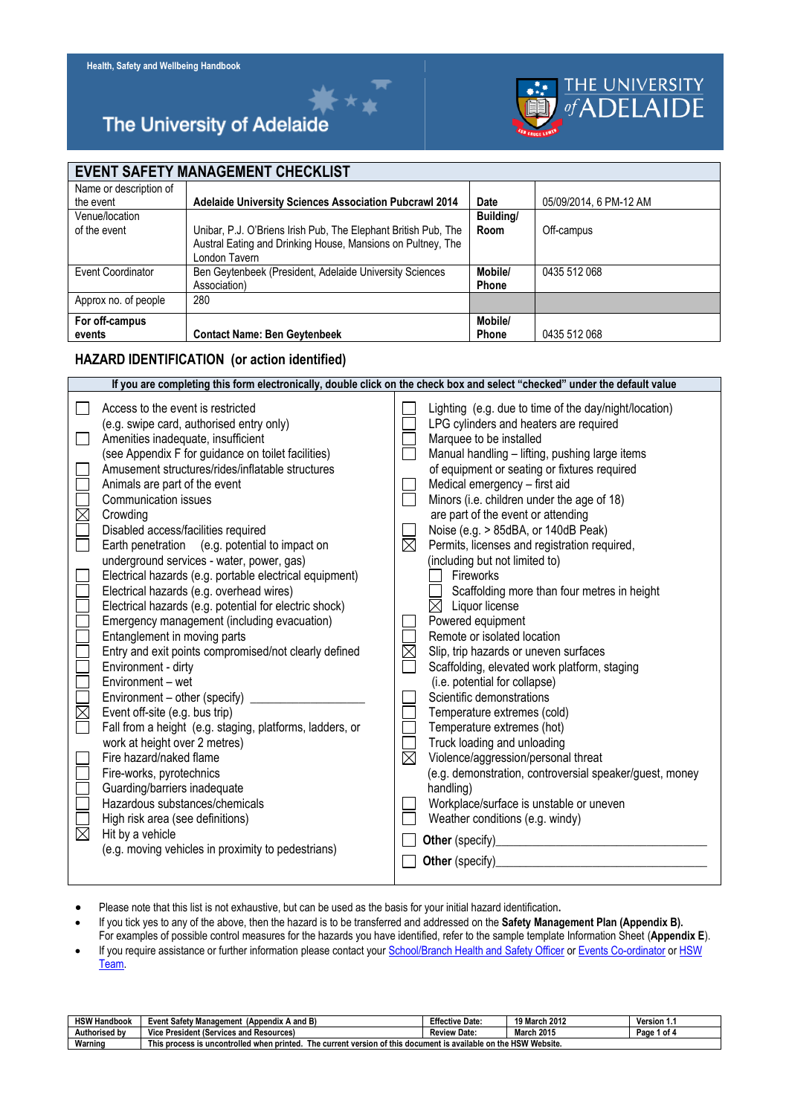## The University of Adelaide

## **EVENT SAFETY MANAGEMENT CHECKLIST**

| Name or description of |                                                                |              |                        |
|------------------------|----------------------------------------------------------------|--------------|------------------------|
| the event              | Adelaide University Sciences Association Pubcrawl 2014         | <b>Date</b>  | 05/09/2014, 6 PM-12 AM |
| Venue/location         |                                                                | Building/    |                        |
| of the event           | Unibar, P.J. O'Briens Irish Pub, The Elephant British Pub, The | Room         | Off-campus             |
|                        | Austral Eating and Drinking House, Mansions on Pultney, The    |              |                        |
|                        | London Tavern                                                  |              |                        |
| Event Coordinator      | Ben Geytenbeek (President, Adelaide University Sciences        | Mobile/      | 0435 512 068           |
|                        | Association)                                                   | Phone        |                        |
| Approx no. of people   | 280                                                            |              |                        |
| For off-campus         |                                                                | Mobile/      |                        |
|                        |                                                                |              |                        |
| events                 | <b>Contact Name: Ben Geytenbeek</b>                            | <b>Phone</b> | 0435 512 068           |

THE UNIVERSITY<br>of **ADELAIDE** 

#### **HAZARD IDENTIFICATION (or action identified)**

| If you are completing this form electronically, double click on the check box and select "checked" under the default value                                                                                                                                                                                                                                                                                                                                                                                                                                                                                                                                                                                                                                                                                                                                                                                                                                                                                                                                                                                                                                                                                                                                                         |                                                                                                                                                                                                                                                                                                                                                                                                                                                                                                                                                                                                                                                                                                                                                                                                                                                                                                                                                                                                                                                                                                                                                                                                            |  |  |  |  |
|------------------------------------------------------------------------------------------------------------------------------------------------------------------------------------------------------------------------------------------------------------------------------------------------------------------------------------------------------------------------------------------------------------------------------------------------------------------------------------------------------------------------------------------------------------------------------------------------------------------------------------------------------------------------------------------------------------------------------------------------------------------------------------------------------------------------------------------------------------------------------------------------------------------------------------------------------------------------------------------------------------------------------------------------------------------------------------------------------------------------------------------------------------------------------------------------------------------------------------------------------------------------------------|------------------------------------------------------------------------------------------------------------------------------------------------------------------------------------------------------------------------------------------------------------------------------------------------------------------------------------------------------------------------------------------------------------------------------------------------------------------------------------------------------------------------------------------------------------------------------------------------------------------------------------------------------------------------------------------------------------------------------------------------------------------------------------------------------------------------------------------------------------------------------------------------------------------------------------------------------------------------------------------------------------------------------------------------------------------------------------------------------------------------------------------------------------------------------------------------------------|--|--|--|--|
| Access to the event is restricted<br>(e.g. swipe card, authorised entry only)<br>Amenities inadequate, insufficient<br>$\Box$<br>(see Appendix F for guidance on toilet facilities)<br>Amusement structures/rides/inflatable structures<br>Animals are part of the event<br>Communication issues<br>$\mathbb{\underline{Z}}$<br>Crowding<br>$\Box$<br>Disabled access/facilities required<br>Earth penetration (e.g. potential to impact on<br>underground services - water, power, gas)<br>Electrical hazards (e.g. portable electrical equipment)<br>Electrical hazards (e.g. overhead wires)<br>Electrical hazards (e.g. potential for electric shock)<br>Emergency management (including evacuation)<br>Entanglement in moving parts<br>Entry and exit points compromised/not clearly defined<br>Environment - dirty<br>Environment - wet<br>Environment – other (specify)<br>$\Box$ $\boxtimes$<br>Event off-site (e.g. bus trip)<br>Fall from a height (e.g. staging, platforms, ladders, or<br>work at height over 2 metres)<br>Fire hazard/naked flame<br>Fire-works, pyrotechnics<br>NOOD<br>Guarding/barriers inadequate<br>Hazardous substances/chemicals<br>High risk area (see definitions)<br>Hit by a vehicle<br>(e.g. moving vehicles in proximity to pedestrians) | Lighting (e.g. due to time of the day/night/location)<br>LPG cylinders and heaters are required<br>Marquee to be installed<br>Manual handling - lifting, pushing large items<br>of equipment or seating or fixtures required<br>Medical emergency - first aid<br>Minors (i.e. children under the age of 18)<br>$\Box$<br>are part of the event or attending<br>Noise (e.g. > 85dBA, or 140dB Peak)<br>$\boxtimes$<br>Permits, licenses and registration required,<br>(including but not limited to)<br>Fireworks<br>Scaffolding more than four metres in height<br>$\boxtimes$ Liquor license<br>Powered equipment<br>Remote or isolated location<br>$\boxtimes$<br>Slip, trip hazards or uneven surfaces<br>Scaffolding, elevated work platform, staging<br>(i.e. potential for collapse)<br>Scientific demonstrations<br>Temperature extremes (cold)<br>Temperature extremes (hot)<br>Truck loading and unloading<br>$\overline{\boxtimes}$<br>Violence/aggression/personal threat<br>(e.g. demonstration, controversial speaker/guest, money<br>handling)<br>Workplace/surface is unstable or uneven<br>Weather conditions (e.g. windy)<br>Other (specify)<br><u>Other (specify)</u><br>Other (specify) |  |  |  |  |

- Please note that this list is not exhaustive, but can be used as the basis for your initial hazard identification**.**
- If you tick yes to any of the above, then the hazard is to be transferred and addressed on the **Safety Management Plan (Appendix B).**
- For examples of possible control measures for the hazards you have identified, refer to the sample template Information Sheet (**Appendix E**). • If you require assistance or further information please contact your [School/Branch Health and Safety Officer](http://www.adelaide.edu.au/hr/ohs/contact/hsos/) o[r Events Co-ordinator](http://www.adelaide.edu.au/msc/events/) or HSW
- [Team.](http://www.adelaide.edu.au/hr/ohs/contact/team/)

| <b>HSW Handbook</b> | <b>Event Safety Management</b><br>(A and B)<br>(Appendix                                                                                 | <b>Effective Date:</b> | 19 March 2012     | Version 1.   |  |  |
|---------------------|------------------------------------------------------------------------------------------------------------------------------------------|------------------------|-------------------|--------------|--|--|
| Authorised by       | e President (Services and Resources).<br>Vice.                                                                                           | <b>Review Date:</b>    | <b>March 2015</b> | Page<br>'of⊾ |  |  |
| Warning             | າ the HSW Website.<br>t version of this<br>s process is uncontrolled when printed.<br>s document is available on<br>l hıs<br>The current |                        |                   |              |  |  |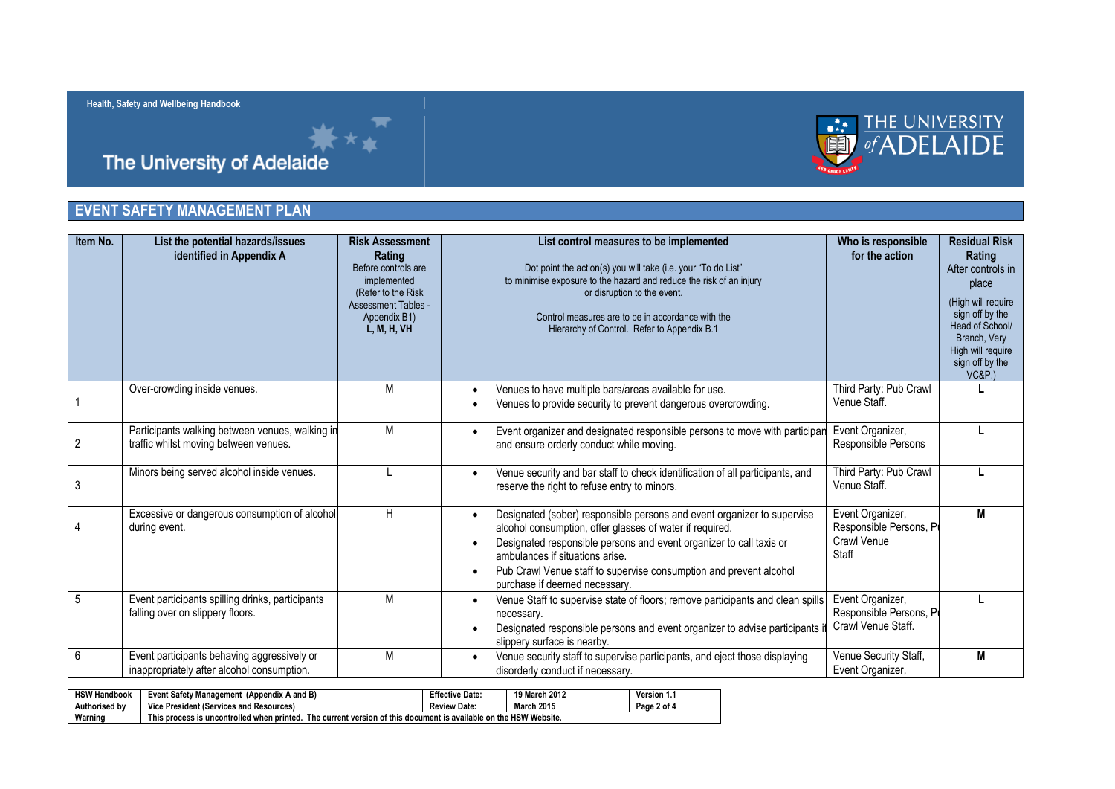



# **[Health, Safety and Wellbeing](http://www.adelaide.edu.au/atoz/) Handbook**<br> **The University of Adelaide**

### **EVENT SAFETY MANAGEMENT PLAN**

| Item No.       | List the potential hazards/issues<br>identified in Appendix A                             | <b>Risk Assessment</b><br>Rating<br>Before controls are<br>implemented<br>(Refer to the Risk<br><b>Assessment Tables -</b><br>Appendix B1)<br>L, M, H, VH | List control measures to be implemented<br>Dot point the action(s) you will take (i.e. your "To do List"<br>to minimise exposure to the hazard and reduce the risk of an injury<br>or disruption to the event.<br>Control measures are to be in accordance with the<br>Hierarchy of Control. Refer to Appendix B.1                                   | Who is responsible<br>for the action                               | <b>Residual Risk</b><br>Rating<br>After controls in<br>place<br>(High will require<br>sign off by the<br>Head of School/<br>Branch, Very<br>High will require<br>sign off by the<br><b>VC&amp;P.)</b> |
|----------------|-------------------------------------------------------------------------------------------|-----------------------------------------------------------------------------------------------------------------------------------------------------------|------------------------------------------------------------------------------------------------------------------------------------------------------------------------------------------------------------------------------------------------------------------------------------------------------------------------------------------------------|--------------------------------------------------------------------|-------------------------------------------------------------------------------------------------------------------------------------------------------------------------------------------------------|
|                | Over-crowding inside venues.                                                              | М                                                                                                                                                         | Venues to have multiple bars/areas available for use.<br>Venues to provide security to prevent dangerous overcrowding.                                                                                                                                                                                                                               | Third Party: Pub Crawl<br>Venue Staff.                             |                                                                                                                                                                                                       |
| $\overline{2}$ | Participants walking between venues, walking in<br>traffic whilst moving between venues.  | М                                                                                                                                                         | Event organizer and designated responsible persons to move with participan<br>and ensure orderly conduct while moving.                                                                                                                                                                                                                               | Event Organizer,<br>Responsible Persons                            |                                                                                                                                                                                                       |
|                | Minors being served alcohol inside venues.                                                |                                                                                                                                                           | Venue security and bar staff to check identification of all participants, and<br>reserve the right to refuse entry to minors.                                                                                                                                                                                                                        | Third Party: Pub Crawl<br>Venue Staff.                             | L                                                                                                                                                                                                     |
|                | Excessive or dangerous consumption of alcohol<br>during event.                            | Η                                                                                                                                                         | Designated (sober) responsible persons and event organizer to supervise<br>alcohol consumption, offer glasses of water if required.<br>Designated responsible persons and event organizer to call taxis or<br>ambulances if situations arise.<br>Pub Crawl Venue staff to supervise consumption and prevent alcohol<br>purchase if deemed necessary. | Event Organizer,<br>Responsible Persons, P<br>Crawl Venue<br>Staff | M                                                                                                                                                                                                     |
| 5              | Event participants spilling drinks, participants<br>falling over on slippery floors.      | М                                                                                                                                                         | Venue Staff to supervise state of floors; remove participants and clean spills<br>necessary.<br>Designated responsible persons and event organizer to advise participants<br>slippery surface is nearby.                                                                                                                                             | Event Organizer,<br>Responsible Persons, P<br>Crawl Venue Staff.   |                                                                                                                                                                                                       |
| 6              | Event participants behaving aggressively or<br>inappropriately after alcohol consumption. | M                                                                                                                                                         | Venue security staff to supervise participants, and eject those displaying<br>disorderly conduct if necessary.                                                                                                                                                                                                                                       | Venue Security Staff,<br>Event Organizer,                          | M                                                                                                                                                                                                     |

| <b>HSW Handbook</b> | (Appendix A and B)<br>Event Safetv M<br>≀ Manaɑement                                                                | <b>Effective Date:</b> | 19 March 2012     | Version 1.  |  |  |
|---------------------|---------------------------------------------------------------------------------------------------------------------|------------------------|-------------------|-------------|--|--|
| Authorised by       | Vice,<br><b>President (Services and Resources)</b>                                                                  | <b>Review Date:</b>    | <b>March 2015</b> | Page 2 of 4 |  |  |
| Warning             | The current version of this document is available on the HSW Website.<br>This process is uncontrolled when printed. |                        |                   |             |  |  |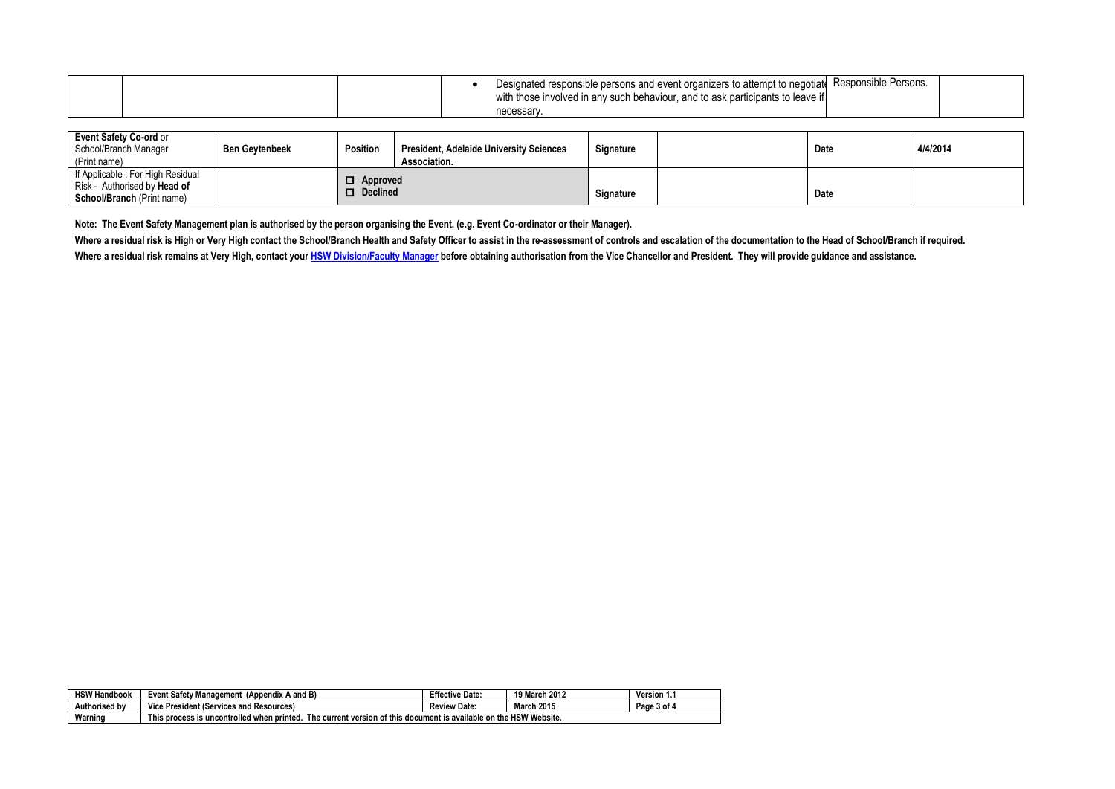|  |  | Designated responsible persons and event organizers to attempt to negotiate<br>with those involved in any such behaviour, and to ask participants to leave if | <sup>4</sup> Responsible Persons. |  |
|--|--|---------------------------------------------------------------------------------------------------------------------------------------------------------------|-----------------------------------|--|
|  |  | necessar                                                                                                                                                      |                                   |  |

| Event Safety Co-ord or<br>School/Branch Manager<br>(Print name)                                   | <b>Ben Gevtenbeek</b> | Position                           | <b>President, Adelaide University Sciences</b><br>Association. | Signature | Date | 4/4/2014 |
|---------------------------------------------------------------------------------------------------|-----------------------|------------------------------------|----------------------------------------------------------------|-----------|------|----------|
| I If Applicable : For High Residual<br>Risk - Authorised by Head of<br>School/Branch (Print name) |                       | $\Box$ Approved<br>$\Box$ Declined |                                                                | Signature | Date |          |

**Note: The Event Safety Management plan is authorised by the person organising the Event. (e.g. Event Co-ordinator or their Manager).** 

Where a residual risk is High or Very High contact the School/Branch Health and Safety Officer to assist in the re-assessment of controls and escalation of the documentation to the Head of School/Branch if required. **Where a residual risk remains at Very High, contact you[r HSW Division/Faculty Manager](http://www.adelaide.edu.au/hr/ohs/contact/team/) before obtaining authorisation from the Vice Chancellor and President. They will provide guidance and assistance.**

| <b>HSW H</b><br><br>Handbook | (Appendix A and B)<br>Event Safety<br>Management                                                                                       | <b>Effective</b><br>Date. | 19 March 2012 | Version<br>.   |  |  |
|------------------------------|----------------------------------------------------------------------------------------------------------------------------------------|---------------------------|---------------|----------------|--|--|
| Author<br>horised bv         | President (Services and<br>nd Resources)<br>Vice                                                                                       | Date:<br>Review           | 2015<br>March | Page<br>⊿ of د |  |  |
| Warning                      | ent is available on the HSW Website.<br>This process is uncontrolled when printed.<br><b>The current version of this</b><br>. documer' |                           |               |                |  |  |